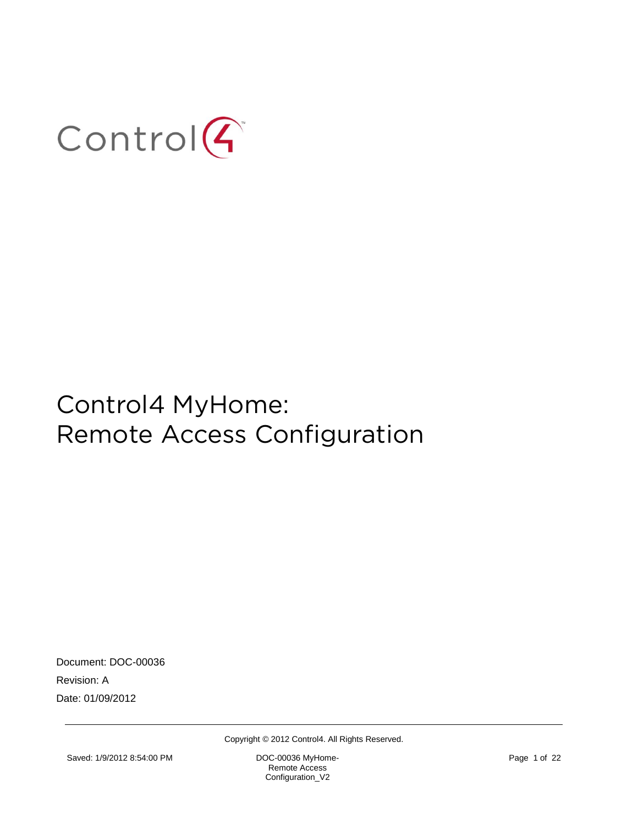

Document: DOC-00036 Revision: A Date: 01/09/2012

Copyright © 2012 Control4. All Rights Reserved.

Remote Access Configuration\_V2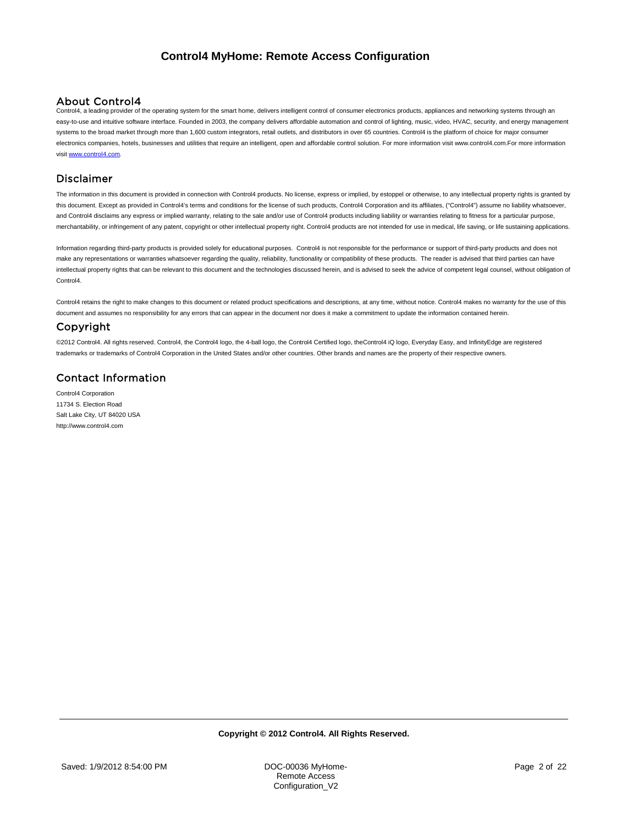### About Control4

Control4, a leading provider of the operating system for the smart home, delivers intelligent control of consumer electronics products, appliances and networking systems through an easy-to-use and intuitive software interface. Founded in 2003, the company delivers affordable automation and control of lighting, music, video, HVAC, security, and energy management systems to the broad market through more than 1,600 custom integrators, retail outlets, and distributors in over 65 countries. Control4 is the platform of choice for major consumer electronics companies, hotels, businesses and utilities that require an intelligent, open and affordable control solution. For more information visit www.control4.com.For more information visi[t www.control4.com.](http://www.control4.com/)

## Disclaimer

The information in this document is provided in connection with Control4 products. No license, express or implied, by estoppel or otherwise, to any intellectual property rights is granted by this document. Except as provided in Control4's terms and conditions for the license of such products, Control4 Corporation and its affiliates, ("Control4") assume no liability whatsoever, and Control4 disclaims any express or implied warranty, relating to the sale and/or use of Control4 products including liability or warranties relating to fitness for a particular purpose, merchantability, or infringement of any patent, copyright or other intellectual property right. Control4 products are not intended for use in medical, life saving, or life sustaining applications.

Information regarding third-party products is provided solely for educational purposes. Control4 is not responsible for the performance or support of third-party products and does not make any representations or warranties whatsoever regarding the quality, reliability, functionality or compatibility of these products. The reader is advised that third parties can have intellectual property rights that can be relevant to this document and the technologies discussed herein, and is advised to seek the advice of competent legal counsel, without obligation of Control4.

Control4 retains the right to make changes to this document or related product specifications and descriptions, at any time, without notice. Control4 makes no warranty for the use of this document and assumes no responsibility for any errors that can appear in the document nor does it make a commitment to update the information contained herein.

### Copyright

©2012 Control4. All rights reserved. Control4, the Control4 logo, the 4-ball logo, the Control4 Certified logo, theControl4 iQ logo, Everyday Easy, and InfinityEdge are registered trademarks or trademarks of Control4 Corporation in the United States and/or other countries. Other brands and names are the property of their respective owners.

### Contact Information

Control4 Corporation 11734 S. Election Road Salt Lake City, UT 84020 USA http://www.control4.com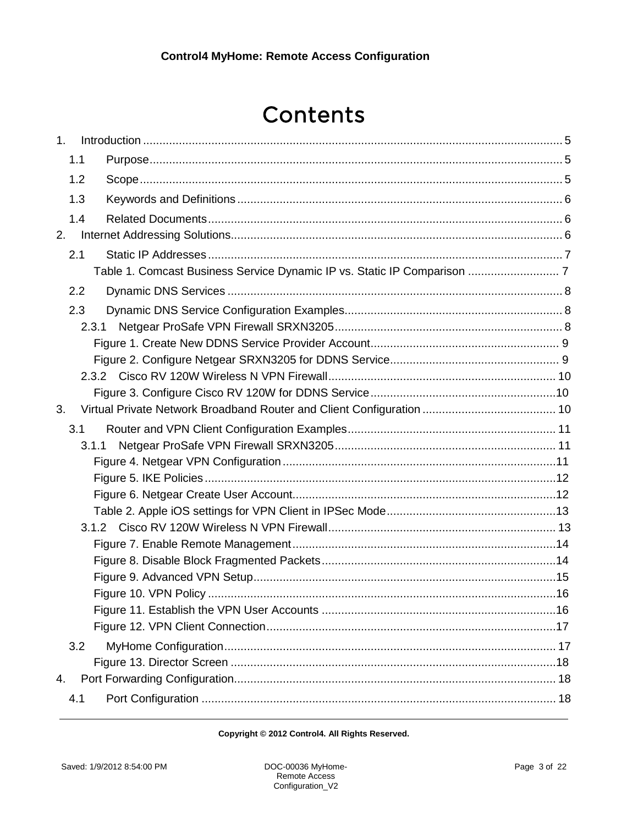# Contents

| 1 <sub>1</sub> |     |       |  |
|----------------|-----|-------|--|
|                | 1.1 |       |  |
|                | 1.2 |       |  |
|                | 1.3 |       |  |
|                | 1.4 |       |  |
| 2.             |     |       |  |
|                | 2.1 |       |  |
|                |     |       |  |
|                | 2.2 |       |  |
|                | 2.3 |       |  |
|                |     | 2.3.1 |  |
|                |     |       |  |
|                |     |       |  |
|                |     |       |  |
|                |     |       |  |
| 3.             |     |       |  |
|                | 3.1 |       |  |
|                |     | 3.1.1 |  |
|                |     |       |  |
|                |     |       |  |
|                |     |       |  |
|                |     |       |  |
|                |     |       |  |
|                |     |       |  |
|                |     |       |  |
|                |     |       |  |
|                |     |       |  |
|                |     |       |  |
|                | 3.2 |       |  |
|                |     |       |  |
| 4.             |     |       |  |
|                | 4.1 |       |  |
|                |     |       |  |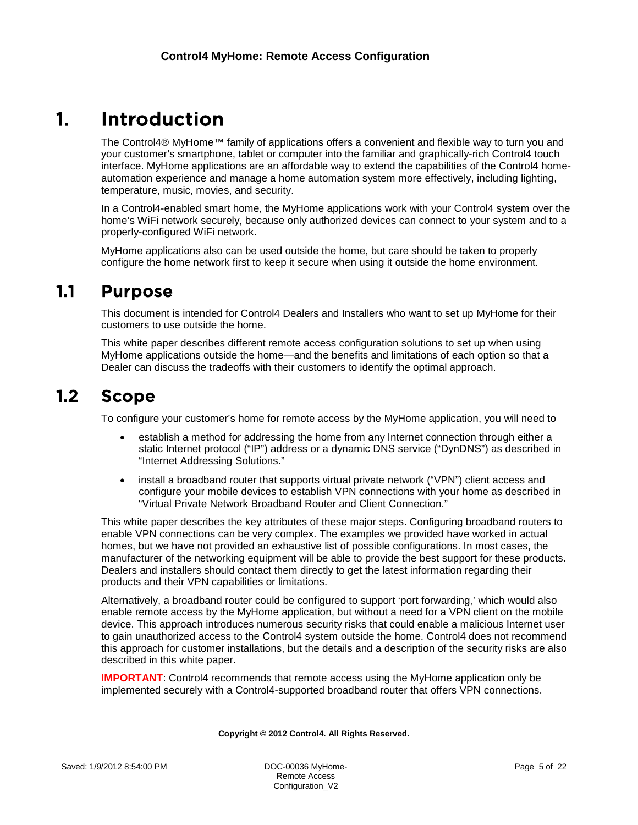# <span id="page-4-0"></span>1. Introduction

The Control4® MyHome™ family of applications offers a convenient and flexible way to turn you and your customer's smartphone, tablet or computer into the familiar and graphically-rich Control4 touch interface. MyHome applications are an affordable way to extend the capabilities of the Control4 homeautomation experience and manage a home automation system more effectively, including lighting, temperature, music, movies, and security.

In a Control4-enabled smart home, the MyHome applications work with your Control4 system over the home's WiFi network securely, because only authorized devices can connect to your system and to a properly-configured WiFi network.

MyHome applications also can be used outside the home, but care should be taken to properly configure the home network first to keep it secure when using it outside the home environment.

## <span id="page-4-1"></span>1.1 Purpose

This document is intended for Control4 Dealers and Installers who want to set up MyHome for their customers to use outside the home.

This white paper describes different remote access configuration solutions to set up when using MyHome applications outside the home—and the benefits and limitations of each option so that a Dealer can discuss the tradeoffs with their customers to identify the optimal approach.

# <span id="page-4-2"></span>1.2 Scope

To configure your customer's home for remote access by the MyHome application, you will need to

- establish a method for addressing the home from any Internet connection through either a static Internet protocol ("IP") address or a dynamic DNS service ("DynDNS") as described in "Internet Addressing Solutions."
- install a broadband router that supports virtual private network ("VPN") client access and configure your mobile devices to establish VPN connections with your home as described in "Virtual Private Network Broadband Router and Client Connection."

This white paper describes the key attributes of these major steps. Configuring broadband routers to enable VPN connections can be very complex. The examples we provided have worked in actual homes, but we have not provided an exhaustive list of possible configurations. In most cases, the manufacturer of the networking equipment will be able to provide the best support for these products. Dealers and installers should contact them directly to get the latest information regarding their products and their VPN capabilities or limitations.

Alternatively, a broadband router could be configured to support 'port forwarding,' which would also enable remote access by the MyHome application, but without a need for a VPN client on the mobile device. This approach introduces numerous security risks that could enable a malicious Internet user to gain unauthorized access to the Control4 system outside the home. Control4 does not recommend this approach for customer installations, but the details and a description of the security risks are also described in this white paper.

**IMPORTANT:** Control4 recommends that remote access using the MyHome application only be implemented securely with a Control4-supported broadband router that offers VPN connections.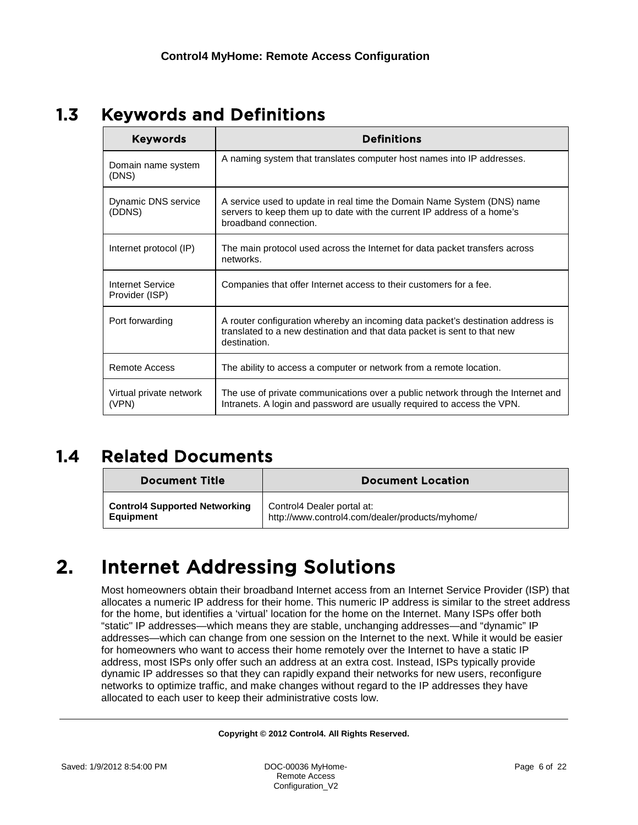# <span id="page-5-0"></span>1.3 Keywords and Definitions

| <b>Keywords</b>                    | <b>Definitions</b>                                                                                                                                                          |
|------------------------------------|-----------------------------------------------------------------------------------------------------------------------------------------------------------------------------|
| Domain name system<br>(DNS)        | A naming system that translates computer host names into IP addresses.                                                                                                      |
| Dynamic DNS service<br>(DDNS)      | A service used to update in real time the Domain Name System (DNS) name<br>servers to keep them up to date with the current IP address of a home's<br>broadband connection. |
| Internet protocol (IP)             | The main protocol used across the Internet for data packet transfers across<br>networks.                                                                                    |
| Internet Service<br>Provider (ISP) | Companies that offer Internet access to their customers for a fee.                                                                                                          |
| Port forwarding                    | A router configuration whereby an incoming data packet's destination address is<br>translated to a new destination and that data packet is sent to that new<br>destination. |
| Remote Access                      | The ability to access a computer or network from a remote location.                                                                                                         |
| Virtual private network<br>(VPN)   | The use of private communications over a public network through the Internet and<br>Intranets. A login and password are usually required to access the VPN.                 |

# <span id="page-5-1"></span>1.4 Related Documents

| <b>Document Title</b>                | <b>Document Location</b>                        |
|--------------------------------------|-------------------------------------------------|
| <b>Control4 Supported Networking</b> | Control4 Dealer portal at:                      |
| <b>Equipment</b>                     | http://www.control4.com/dealer/products/myhome/ |

# <span id="page-5-2"></span>2. Internet Addressing Solutions

Most homeowners obtain their broadband Internet access from an Internet Service Provider (ISP) that allocates a numeric IP address for their home. This numeric IP address is similar to the street address for the home, but identifies a 'virtual' location for the home on the Internet. Many ISPs offer both "static" IP addresses—which means they are stable, unchanging addresses—and "dynamic" IP addresses—which can change from one session on the Internet to the next. While it would be easier for homeowners who want to access their home remotely over the Internet to have a static IP address, most ISPs only offer such an address at an extra cost. Instead, ISPs typically provide dynamic IP addresses so that they can rapidly expand their networks for new users, reconfigure networks to optimize traffic, and make changes without regard to the IP addresses they have allocated to each user to keep their administrative costs low.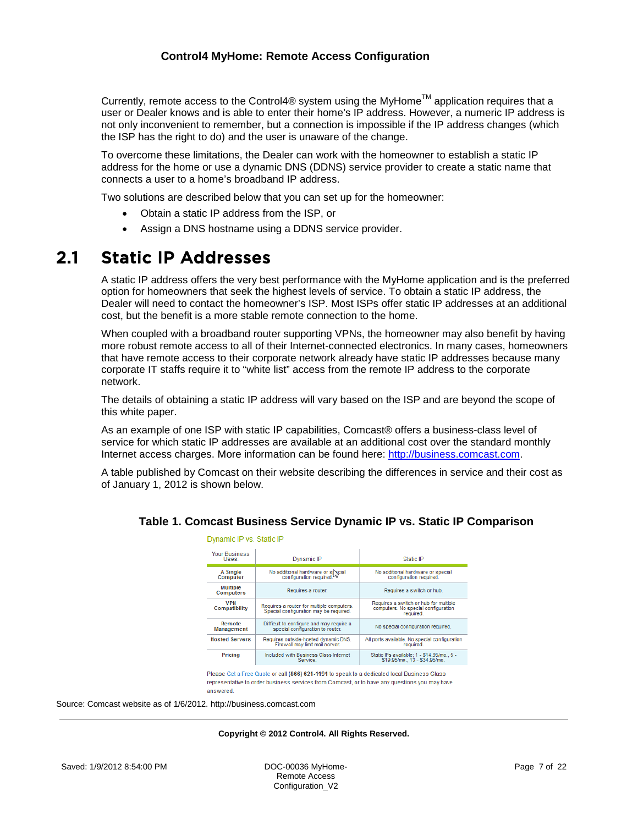Currently, remote access to the Control4<sup>®</sup> system using the MyHome<sup>TM</sup> application requires that a user or Dealer knows and is able to enter their home's IP address. However, a numeric IP address is not only inconvenient to remember, but a connection is impossible if the IP address changes (which the ISP has the right to do) and the user is unaware of the change.

To overcome these limitations, the Dealer can work with the homeowner to establish a static IP address for the home or use a dynamic DNS (DDNS) service provider to create a static name that connects a user to a home's broadband IP address.

Two solutions are described below that you can set up for the homeowner:

- Obtain a static IP address from the ISP, or
- Assign a DNS hostname using a DDNS service provider.

Dynamic IP vs. Static IP

# <span id="page-6-0"></span>2.1 Static IP Addresses

A static IP address offers the very best performance with the MyHome application and is the preferred option for homeowners that seek the highest levels of service. To obtain a static IP address, the Dealer will need to contact the homeowner's ISP. Most ISPs offer static IP addresses at an additional cost, but the benefit is a more stable remote connection to the home.

When coupled with a broadband router supporting VPNs, the homeowner may also benefit by having more robust remote access to all of their Internet-connected electronics. In many cases, homeowners that have remote access to their corporate network already have static IP addresses because many corporate IT staffs require it to "white list" access from the remote IP address to the corporate network.

The details of obtaining a static IP address will vary based on the ISP and are beyond the scope of this white paper.

As an example of one ISP with static IP capabilities, Comcast® offers a business-class level of service for which static IP addresses are available at an additional cost over the standard monthly Internet access charges. More information can be found here: [http://business.comcast.com.](http://business.comcast.com/)

<span id="page-6-1"></span>A table published by Comcast on their website describing the differences in service and their cost as of January 1, 2012 is shown below.

| <b>Your Business</b><br>Uses:       | Dynamic IP                                                                          | Static IP                                                                                 |  |  |  |  |
|-------------------------------------|-------------------------------------------------------------------------------------|-------------------------------------------------------------------------------------------|--|--|--|--|
| A Single<br>Computer                | No additional hardware or special<br>configuration required. W                      | No additional hardware or special<br>configuration required.                              |  |  |  |  |
| <b>Multiple</b><br><b>Computers</b> | Requires a router.                                                                  | Requires a switch or hub.                                                                 |  |  |  |  |
| <b>VPN</b><br><b>Compatibility</b>  | Requires a router for multiple computers.<br>Special configuration may be required. | Requires a switch or hub for multiple<br>computers. No special configuration<br>required. |  |  |  |  |
| Remote<br><b>Management</b>         | Difficult to configure and may require a<br>special configuration to router.        | No special configuration required.                                                        |  |  |  |  |
| <b>Hosted Servers</b>               | Requires outside-hosted dynamic DNS.<br>Firewall may limit mail server.             | All ports available. No special configuration<br>required.                                |  |  |  |  |
| Pricing                             | Included with Business Class Internet<br>Service.                                   | Static IPs available; 1 - \$14.95/mo., 5 -<br>\$19.95/mo., 13 - \$34.95/mo.               |  |  |  |  |

## **Table 1. Comcast Business Service Dynamic IP vs. Static IP Comparison**

Please Get a Free Quote or call (866) 621-1191 to speak to a dedicated local Business Class representative to order business services from Comcast, or to have any questions you may have answered.

Source: Comcast website as of 1/6/2012. http://business.comcast.com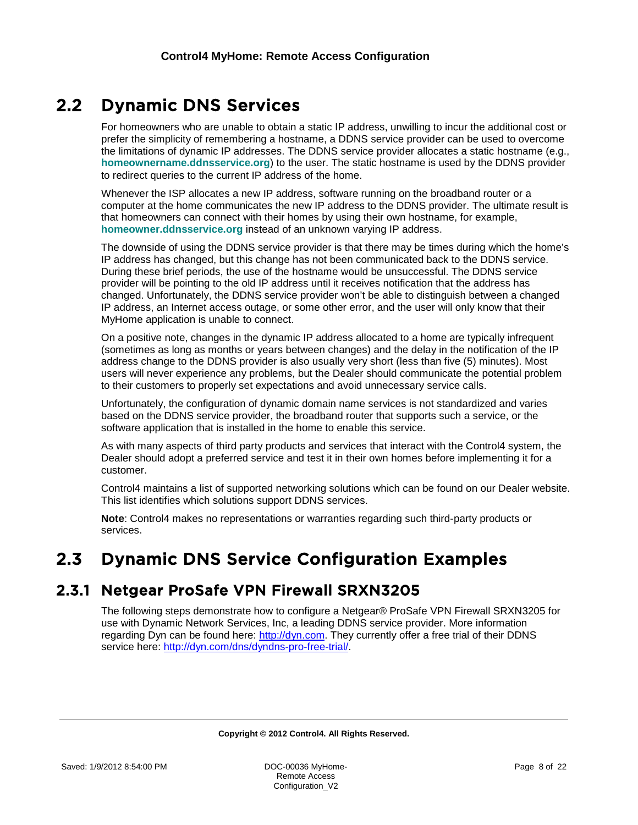# <span id="page-7-0"></span>2.2 Dynamic DNS Services

For homeowners who are unable to obtain a static IP address, unwilling to incur the additional cost or prefer the simplicity of remembering a hostname, a DDNS service provider can be used to overcome the limitations of dynamic IP addresses. The DDNS service provider allocates a static hostname (e.g., **homeownername.ddnsservice.org**) to the user. The static hostname is used by the DDNS provider to redirect queries to the current IP address of the home.

Whenever the ISP allocates a new IP address, software running on the broadband router or a computer at the home communicates the new IP address to the DDNS provider. The ultimate result is that homeowners can connect with their homes by using their own hostname, for example, **homeowner.ddnsservice.org** instead of an unknown varying IP address.

The downside of using the DDNS service provider is that there may be times during which the home's IP address has changed, but this change has not been communicated back to the DDNS service. During these brief periods, the use of the hostname would be unsuccessful. The DDNS service provider will be pointing to the old IP address until it receives notification that the address has changed. Unfortunately, the DDNS service provider won't be able to distinguish between a changed IP address, an Internet access outage, or some other error, and the user will only know that their MyHome application is unable to connect.

On a positive note, changes in the dynamic IP address allocated to a home are typically infrequent (sometimes as long as months or years between changes) and the delay in the notification of the IP address change to the DDNS provider is also usually very short (less than five (5) minutes). Most users will never experience any problems, but the Dealer should communicate the potential problem to their customers to properly set expectations and avoid unnecessary service calls.

Unfortunately, the configuration of dynamic domain name services is not standardized and varies based on the DDNS service provider, the broadband router that supports such a service, or the software application that is installed in the home to enable this service.

As with many aspects of third party products and services that interact with the Control4 system, the Dealer should adopt a preferred service and test it in their own homes before implementing it for a customer.

Control4 maintains a list of supported networking solutions which can be found on our Dealer website. This list identifies which solutions support DDNS services.

**Note**: Control4 makes no representations or warranties regarding such third-party products or services.

# <span id="page-7-1"></span>2.3 Dynamic DNS Service Configuration Examples

## <span id="page-7-2"></span>2.3.1 Netgear ProSafe VPN Firewall SRXN3205

The following steps demonstrate how to configure a Netgear® ProSafe VPN Firewall SRXN3205 for use with Dynamic Network Services, Inc, a leading DDNS service provider. More information regarding Dyn can be found here: [http://dyn.com.](http://dyn.com/) They currently offer a free trial of their DDNS service here: [http://dyn.com/dns/dyndns-pro-free-trial/.](http://dyn.com/dns/dyndns-pro-free-trial/)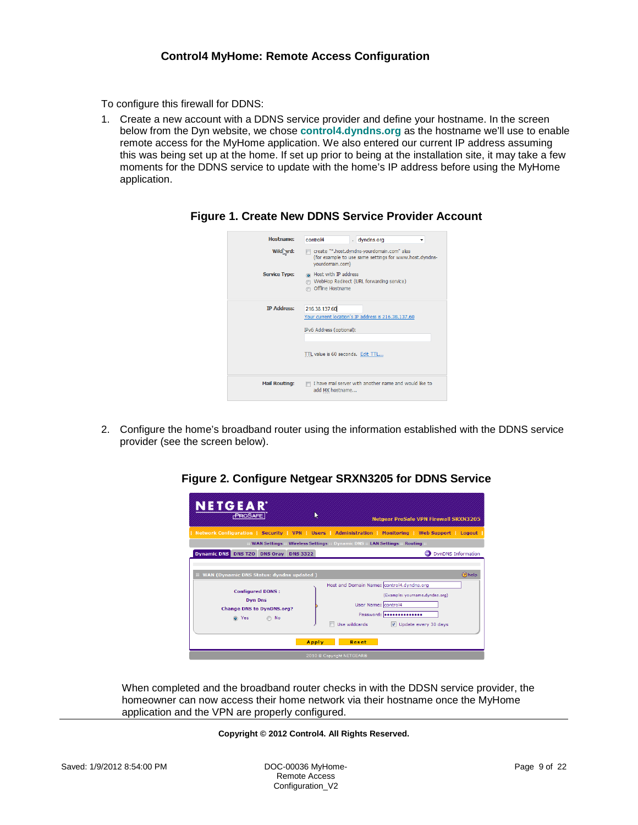To configure this firewall for DDNS:

<span id="page-8-0"></span>1. Create a new account with a DDNS service provider and define your hostname. In the screen below from the Dyn website, we chose **control4.dyndns.org** as the hostname we'll use to enable remote access for the MyHome application. We also entered our current IP address assuming this was being set up at the home. If set up prior to being at the installation site, it may take a few moments for the DDNS service to update with the home's IP address before using the MyHome application.

| Hostname:            | control4<br>dyndns.org<br>▼                                                                                                           |
|----------------------|---------------------------------------------------------------------------------------------------------------------------------------|
| Wild grd:            | create "*.host.dyndns-yourdomain.com" alias<br>(for example to use same settings for www.host.dyndns-<br>yourdomain.com)              |
| <b>Service Type:</b> | a Host with IP address<br>WebHop Redirect (URL forwarding service)<br>Offline Hostname                                                |
| <b>IP Address:</b>   | 216.38.137.60<br>Your current location's IP address is 216.38.137.60<br>IPv6 Address (optional):<br>TTL value is 60 seconds. Edit TTL |
| <b>Mail Routing:</b> | I have mail server with another name and would like to<br>add MX hostname                                                             |

**Figure 1. Create New DDNS Service Provider Account**

<span id="page-8-1"></span>2. Configure the home's broadband router using the information established with the DDNS service provider (see the screen below).

| <b>NETGEAR</b><br><b>PROSAFE</b>                                                                                                                    | ▶               |                                                              | <b>Netgear ProSafe VPN Firewall SRXN3205</b>                                                                                         |
|-----------------------------------------------------------------------------------------------------------------------------------------------------|-----------------|--------------------------------------------------------------|--------------------------------------------------------------------------------------------------------------------------------------|
| Network Configuration   Security   VPN   Users   Administration   Monitoring   Web Support   Logout                                                 |                 |                                                              |                                                                                                                                      |
| :: WAN Settings :: Wireless Settings :: Dynamic DNS :: LAN Settings :: Routing ::                                                                   |                 |                                                              |                                                                                                                                      |
| <b>Dynamic DNS</b><br><b>DNS TZO</b><br><b>DNS Oray</b>                                                                                             | <b>DNS 3322</b> |                                                              | <b>DynDNS Information</b>                                                                                                            |
| <b>E WAN (Dynamic DNS Status: dyndns updated)</b><br><b>Configured DDNS:</b><br><b>Dyn Dns</b><br><b>Change DNS to DynDNS.org?</b><br>o Yes<br>∩ No |                 | User Name: control4<br>Use wildcards <b>State State</b><br>m | (?) help<br>Host and Domain Name: control4.dyndns.org<br>(Example: vourname.dvndns.org)<br>Password: <b></b><br>Update every 30 days |
|                                                                                                                                                     | <b>Apply</b>    | Reset                                                        |                                                                                                                                      |
|                                                                                                                                                     |                 | 2010 © Copyright NETGEAR®                                    |                                                                                                                                      |

## **Figure 2. Configure Netgear SRXN3205 for DDNS Service**

When completed and the broadband router checks in with the DDSN service provider, the homeowner can now access their home network via their hostname once the MyHome application and the VPN are properly configured.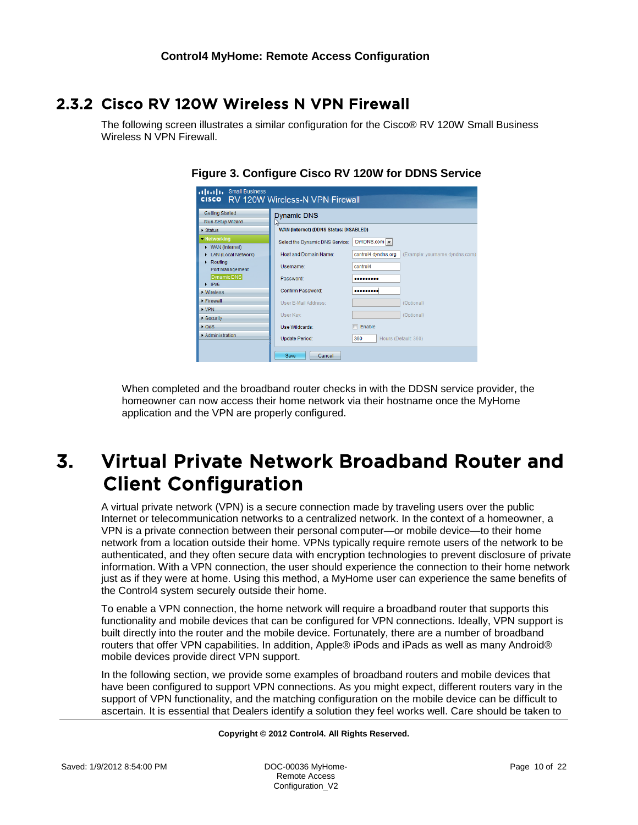## <span id="page-9-0"></span>2.3.2 Cisco RV 120W Wireless N VPN Firewall

<span id="page-9-1"></span>The following screen illustrates a similar configuration for the Cisco® RV 120W Small Business Wireless N VPN Firewall.

| illilli Small Business                                  | <b>CISCO</b> RV 120W Wireless-N VPN Firewall  |                                                       |
|---------------------------------------------------------|-----------------------------------------------|-------------------------------------------------------|
| <b>Getting Started</b><br>Run Setup Wizard              | <b>Dynamic DNS</b><br>Lì                      |                                                       |
| Status                                                  | <b>WAN (Internet) (DDNS Status: DISABLED)</b> |                                                       |
| • Networking<br>▶ WAN (Internet)                        | Select the Dynamic DNS Service:               | DynDNS.com -                                          |
| LAN (Local Network)                                     | <b>Host and Domain Name:</b>                  | control4.dyndns.org<br>(Example: yourname.dyndns.com) |
| $\triangleright$ Routing<br>Port Management             | Username:                                     | control4                                              |
| <b>Dynamic DNS</b><br>$\triangleright$ IPv <sub>6</sub> | Password:                                     |                                                       |
| <b>Mireless</b>                                         | Confirm Password:                             |                                                       |
| Firewall                                                | User E-Mail Address:                          | (Optional)                                            |
| <b>NPN</b><br>Security                                  | User Kev:                                     | (Optional)                                            |
| $\triangleright$ QoS                                    | Use Wildcards:                                | Enable                                                |
| Administration                                          | Update Period:                                | 360<br>Hours (Default: 360)                           |
|                                                         | Save<br>Cancel                                |                                                       |

## **Figure 3. Configure Cisco RV 120W for DDNS Service**

When completed and the broadband router checks in with the DDSN service provider, the homeowner can now access their home network via their hostname once the MyHome application and the VPN are properly configured.

# <span id="page-9-2"></span>3. Virtual Private Network Broadband Router and Client Configuration

A virtual private network (VPN) is a secure connection made by traveling users over the public Internet or telecommunication networks to a centralized network. In the context of a homeowner, a VPN is a private connection between their personal computer—or mobile device—to their home network from a location outside their home. VPNs typically require remote users of the network to be authenticated, and they often secure data with encryption technologies to prevent disclosure of private information. With a VPN connection, the user should experience the connection to their home network just as if they were at home. Using this method, a MyHome user can experience the same benefits of the Control4 system securely outside their home.

To enable a VPN connection, the home network will require a broadband router that supports this functionality and mobile devices that can be configured for VPN connections. Ideally, VPN support is built directly into the router and the mobile device. Fortunately, there are a number of broadband routers that offer VPN capabilities. In addition, Apple® iPods and iPads as well as many Android® mobile devices provide direct VPN support.

In the following section, we provide some examples of broadband routers and mobile devices that have been configured to support VPN connections. As you might expect, different routers vary in the support of VPN functionality, and the matching configuration on the mobile device can be difficult to ascertain. It is essential that Dealers identify a solution they feel works well. Care should be taken to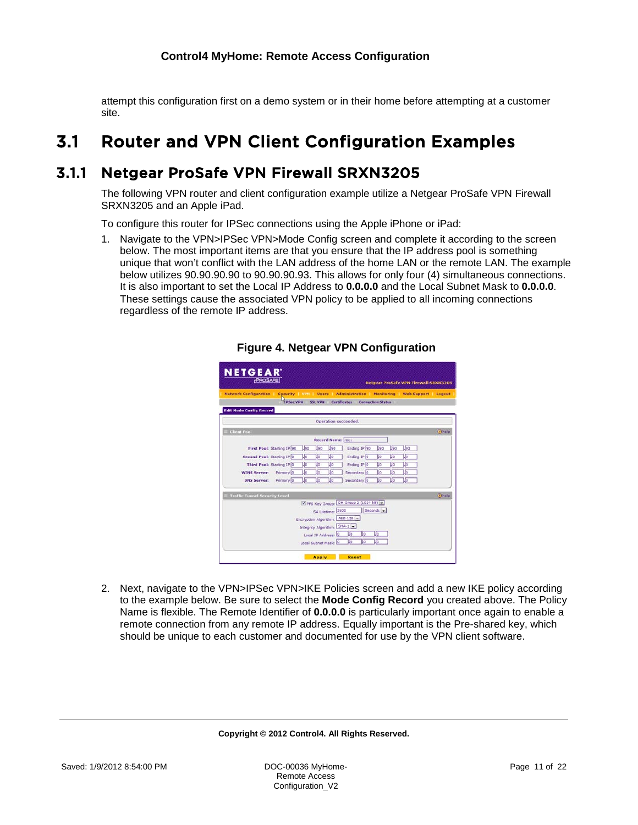attempt this configuration first on a demo system or in their home before attempting at a customer site.

# <span id="page-10-0"></span>3.1 Router and VPN Client Configuration Examples

## <span id="page-10-1"></span>3.1.1 Netgear ProSafe VPN Firewall SRXN3205

The following VPN router and client configuration example utilize a Netgear ProSafe VPN Firewall SRXN3205 and an Apple iPad.

To configure this router for IPSec connections using the Apple iPhone or iPad:

<span id="page-10-2"></span>1. Navigate to the VPN>IPSec VPN>Mode Config screen and complete it according to the screen below. The most important items are that you ensure that the IP address pool is something unique that won't conflict with the LAN address of the home LAN or the remote LAN. The example below utilizes 90.90.90.90 to 90.90.90.93. This allows for only four (4) simultaneous connections. It is also important to set the Local IP Address to **0.0.0.0** and the Local Subnet Mask to **0.0.0.0**. These settings cause the associated VPN policy to be applied to all incoming connections regardless of the remote IP address.

|                                                                                        | PROSAFE                          |      |             |                          |                                      |           |     |     | <b>Netgear ProSafe VPN Firewall SRXN3205</b> |
|----------------------------------------------------------------------------------------|----------------------------------|------|-------------|--------------------------|--------------------------------------|-----------|-----|-----|----------------------------------------------|
| Network Configuration Security VIII Users Administration Monitoring Web Support Logout | TPSec VPN SSL VPN                |      |             |                          | Certificates Connection Status       |           |     |     |                                              |
| <b>Edit Mode Config Record</b>                                                         |                                  |      |             |                          |                                      |           |     |     |                                              |
|                                                                                        |                                  |      |             |                          | Operation succeeded.                 |           |     |     |                                              |
| <b>Client Pool</b>                                                                     |                                  |      |             |                          |                                      |           |     |     |                                              |
|                                                                                        |                                  |      |             | <b>Record Name:</b> rec1 |                                      |           |     |     |                                              |
|                                                                                        | First Pool: Starting IP 90       | Liso | $\sqrt{90}$ | <b>Li</b> sa             | Ending IP 90                         | Liso      | Uso | Us: |                                              |
| Second Pool: Starting IP 0                                                             |                                  | Uo   | Ιō          | Uo                       | Ending IP D                          | μō        | Uo  | Vo  |                                              |
|                                                                                        | <b>Third Pool: Starting IP 0</b> | Цo   | IJ٥         | L۱o                      | Ending IP D                          | IJо       | J٥  | IJ٥ |                                              |
| <b>WINS Server:</b> Primary 0                                                          |                                  | Uo   | IJσ         | Uō                       | Secondary <sup>1</sup> 0             | ᡁᢛ        | IJ٥ | Uo  |                                              |
| <b>DNS Server:</b>                                                                     | Primary 0                        | ιG   | Jo          | Ua                       | Secondary <sup>0</sup>               | lσ        | Uo  | Uo  |                                              |
| <b>iii</b> Traffic Tunnel Security Level                                               |                                  |      |             |                          |                                      |           |     |     |                                              |
|                                                                                        |                                  |      |             |                          | PFS Key Group: DH Group 2 (1024 bit) |           |     |     |                                              |
|                                                                                        |                                  |      |             | SA Lifetime: 3600        |                                      | Seconds + |     |     |                                              |
|                                                                                        |                                  |      |             |                          | Encryption Algorithm: AES-128        |           |     |     |                                              |
|                                                                                        |                                  |      |             |                          | Integrity Algorithm: SHA-1           |           |     |     |                                              |
|                                                                                        |                                  |      |             | Local IP Address: 0      | Цo<br>Цo                             | Jo        |     |     |                                              |
|                                                                                        |                                  |      |             | Local Subnet Mask:       | Jo<br>Jo                             | ю         |     |     |                                              |

**Figure 4. Netgear VPN Configuration**

2. Next, navigate to the VPN>IPSec VPN>IKE Policies screen and add a new IKE policy according to the example below. Be sure to select the **Mode Config Record** you created above. The Policy Name is flexible. The Remote Identifier of **0.0.0.0** is particularly important once again to enable a remote connection from any remote IP address. Equally important is the Pre-shared key, which should be unique to each customer and documented for use by the VPN client software.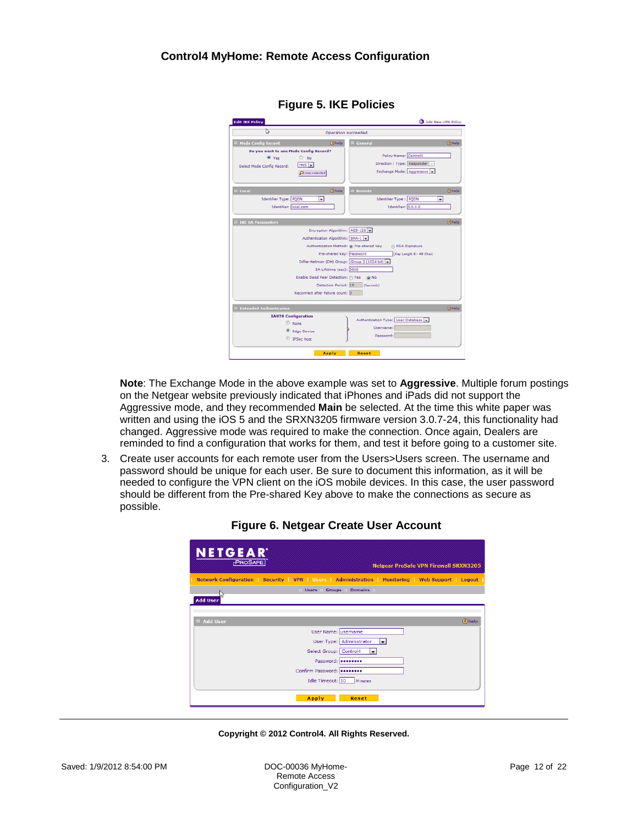<span id="page-11-0"></span>

| ্রি                                                                                                                   | Operation succeeded.                                                                                                                                                                                                                                                                    |                                                                                   | Add New VPN Policy |
|-----------------------------------------------------------------------------------------------------------------------|-----------------------------------------------------------------------------------------------------------------------------------------------------------------------------------------------------------------------------------------------------------------------------------------|-----------------------------------------------------------------------------------|--------------------|
| <b>Mode Config Record</b>                                                                                             | <b>Ohalp</b>                                                                                                                                                                                                                                                                            | General                                                                           | (b) halp           |
| Do you want to use Mode Config Record?<br>W Yes<br>Đ.<br>No<br>rect.<br>Select Mode Config Record:<br>O view zelected |                                                                                                                                                                                                                                                                                         | Policy Name: Control4<br>Direction / Type: Responder<br>Exchange Mode: Aggressive |                    |
| <b>ELocal</b><br><b>Identifier Type: FODN</b><br>Identifier: local.com                                                | <b>Dhelp</b><br>۰ı                                                                                                                                                                                                                                                                      | Remote<br>Identifier Type : FQON<br>Identifier: 0.0.0.0                           | $①$ help<br>×      |
| <b>IKL SA Parameters</b>                                                                                              |                                                                                                                                                                                                                                                                                         |                                                                                   | <b>Dhelp</b>       |
|                                                                                                                       | Authentication Algorithm: SHA-1 ~<br>Authentication Method: @ Pre-shared key<br>Pre-shared key: Password<br>Diffie-Hellman (DH) Group: Group 2 (1024 bit)<br>SA-Lifetime (sec): 3600<br>Enable Dead Peer Detection: (1) Yes<br>Detection Period: 10<br>Reconnect after failure count: 3 | <b>Pi RSA-Signature</b><br>(Key Length B - 49 Char)<br><b>GINO</b><br>(Seconds)   |                    |
| <b>Extended Authentication</b>                                                                                        |                                                                                                                                                                                                                                                                                         |                                                                                   | $\sigma$ help      |
| <b>XAUTH Configuration</b><br><b>None</b><br><b>Edge Device</b><br><b>IPSec Host</b>                                  |                                                                                                                                                                                                                                                                                         | Authentication Type: User Database<br><b>Username:</b><br>Password:               |                    |
|                                                                                                                       | <b>Apply</b>                                                                                                                                                                                                                                                                            | Reset                                                                             |                    |

**Figure 5. IKE Policies**

**Note**: The Exchange Mode in the above example was set to **Aggressive**. Multiple forum postings on the Netgear website previously indicated that iPhones and iPads did not support the Aggressive mode, and they recommended **Main** be selected. At the time this white paper was written and using the iOS 5 and the SRXN3205 firmware version 3.0.7-24, this functionality had changed. Aggressive mode was required to make the connection. Once again, Dealers are reminded to find a configuration that works for them, and test it before going to a customer site.

<span id="page-11-1"></span>3. Create user accounts for each remote user from the Users>Users screen. The username and password should be unique for each user. Be sure to document this information, as it will be needed to configure the VPN client on the iOS mobile devices. In this case, the user password should be different from the Pre-shared Key above to make the connections as secure as possible.

| NETGEAR<br><b>PROSAFE</b> | <b>Netgear ProSafe VPN Firewall SRXN3205</b>                                                        |
|---------------------------|-----------------------------------------------------------------------------------------------------|
|                           | Network Configuration   Security   VPN   Users   Administration   Monitoring   Web Support   Logout |
| <b>Add User</b>           | Users Groups Domains                                                                                |
| <b>El Add User</b>        | (?) help                                                                                            |
|                           | User Name: username<br>User Type: Administrator<br>÷                                                |
|                           | Select Group: Control4<br>Password:                                                                 |
|                           | Confirm Password: 00000000<br>Idle Timeout: 10<br>Minutes                                           |
|                           | Apply<br>Reset                                                                                      |

### **Figure 6. Netgear Create User Account**

**Copyright © 2012 Control4. All Rights Reserved.**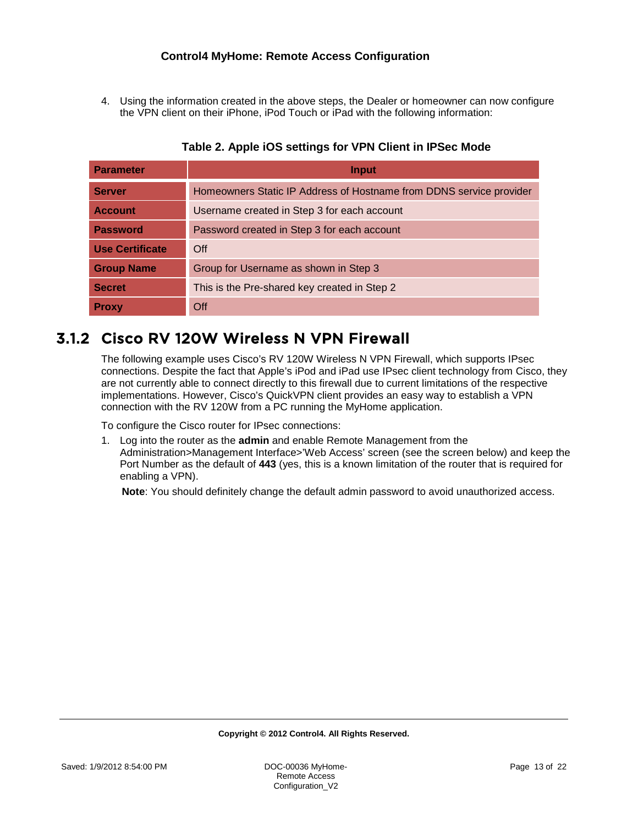4. Using the information created in the above steps, the Dealer or homeowner can now configure the VPN client on their iPhone, iPod Touch or iPad with the following information:

<span id="page-12-0"></span>

| Parameter              | <b>Input</b>                                                        |
|------------------------|---------------------------------------------------------------------|
| Server                 | Homeowners Static IP Address of Hostname from DDNS service provider |
| <b>Account</b>         | Username created in Step 3 for each account                         |
| <b>Password</b>        | Password created in Step 3 for each account                         |
| <b>Use Certificate</b> | Off                                                                 |
| <b>Group Name</b>      | Group for Username as shown in Step 3                               |
| <b>Secret</b>          | This is the Pre-shared key created in Step 2                        |
| <b>Proxy</b>           | Off                                                                 |

## **Table 2. Apple iOS settings for VPN Client in IPSec Mode**

## <span id="page-12-1"></span>3.1.2 Cisco RV 120W Wireless N VPN Firewall

The following example uses Cisco's RV 120W Wireless N VPN Firewall, which supports IPsec connections. Despite the fact that Apple's iPod and iPad use IPsec client technology from Cisco, they are not currently able to connect directly to this firewall due to current limitations of the respective implementations. However, Cisco's QuickVPN client provides an easy way to establish a VPN connection with the RV 120W from a PC running the MyHome application.

To configure the Cisco router for IPsec connections:

1. Log into the router as the **admin** and enable Remote Management from the Administration>Management Interface>'Web Access' screen (see the screen below) and keep the Port Number as the default of **443** (yes, this is a known limitation of the router that is required for enabling a VPN).

**Note**: You should definitely change the default admin password to avoid unauthorized access.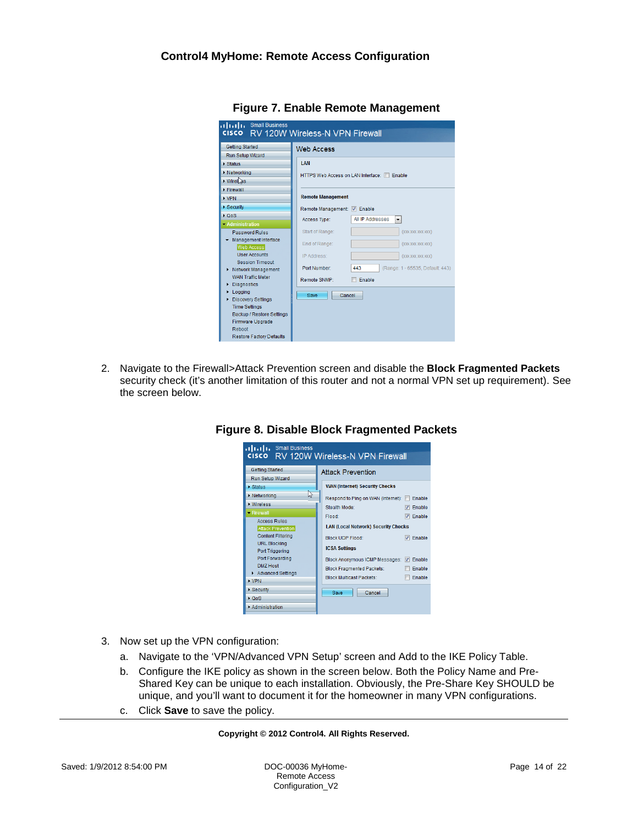<span id="page-13-0"></span>

| dillilli Small Business<br><b>CISCO</b>        | RV 120W Wireless-N VPN Firewall    |                                         |
|------------------------------------------------|------------------------------------|-----------------------------------------|
| <b>Getting Started</b>                         | <b>Web Access</b>                  |                                         |
| Run Setup Wizard                               |                                    |                                         |
| Status                                         | <b>I AN</b>                        |                                         |
| > Networking                                   | HTTPS Web Access on LAN Interface: | Fnable                                  |
| Wirel <sub>as</sub>                            |                                    |                                         |
| Firewall                                       |                                    |                                         |
| $\triangleright$ VPN                           | <b>Remote Management</b>           |                                         |
| ▶ Security                                     | Remote Management: 7 Enable        |                                         |
| $\triangleright$ QoS                           | Access Type:                       | <b>All IP Addresses</b><br>۰            |
| <b>• Administration</b>                        |                                    |                                         |
| <b>Password Rules</b>                          | Start of Range:                    | (XXX.XXX.XXX.XXX)                       |
| Management Interface<br><b>Web Access</b>      | End of Range:                      | (XXX.XXX.XXX.XXX)                       |
| <b>User Accounts</b>                           | IP Address:                        | (XXX.XXX.XXX.XXX)                       |
| <b>Session Timeout</b><br>> Network Management | Port Number:                       | 443<br>(Range: 1 - 65535, Default: 443) |
| <b>WAN Traffic Meter</b><br>Diagnostics<br>Þ   | Remote SNMP:                       | Enable                                  |
| Logging<br>r<br>▶ Discovery Settings           | Cancel<br>Save                     |                                         |
| <b>Time Settings</b>                           |                                    |                                         |
| Backup / Restore Settings                      |                                    |                                         |
| Firmware Upgrade<br>Reboot                     |                                    |                                         |
| <b>Restore Factory Defaults</b>                |                                    |                                         |

**Figure 7. Enable Remote Management**

<span id="page-13-1"></span>2. Navigate to the Firewall>Attack Prevention screen and disable the **Block Fragmented Packets** security check (it's another limitation of this router and not a normal VPN set up requirement). See the screen below.

| altalia<br><b>Small Business</b><br><b>RV 120W Wireless-N VPN Firewall</b><br><b>CISCO</b>         |                                                                                                                            |  |  |  |  |
|----------------------------------------------------------------------------------------------------|----------------------------------------------------------------------------------------------------------------------------|--|--|--|--|
| <b>Getting Started</b><br>Run Setup Wizard                                                         | <b>Attack Prevention</b>                                                                                                   |  |  |  |  |
| <b>Status</b>                                                                                      | <b>WAN (Internet) Security Checks</b>                                                                                      |  |  |  |  |
| 兦<br><b>Networking</b><br><b>Mireless</b><br>• Firewall                                            | Respond to Ping on WAN (Internet): [8]<br>Enable<br>Stealth Mode:<br>Enable                                                |  |  |  |  |
| <b>Access Rules</b><br><b>Attack Prevention</b><br><b>Content Filtering</b><br><b>URL Blocking</b> | Flood:<br>Enable<br>v<br><b>LAN (Local Network) Security Checks</b><br><b>Block UDP Flood:</b><br>Enable<br>$\overline{v}$ |  |  |  |  |
| <b>Port Triggering</b><br>Port Forwarding<br><b>DMZ Host</b>                                       | <b>ICSA Settings</b><br>Block Anonymous ICMP Messages: V<br>Enable<br><b>Block Fragmented Packets:</b><br>Enable           |  |  |  |  |
| Advanced Settings<br>$\triangleright$ VPN                                                          | <b>Block Multicast Packets:</b><br>Enable                                                                                  |  |  |  |  |
| Security                                                                                           | Cancel<br>Save                                                                                                             |  |  |  |  |
| + OoS<br>Administration                                                                            |                                                                                                                            |  |  |  |  |

## **Figure 8. Disable Block Fragmented Packets**

- 3. Now set up the VPN configuration:
	- a. Navigate to the 'VPN/Advanced VPN Setup' screen and Add to the IKE Policy Table.
	- b. Configure the IKE policy as shown in the screen below. Both the Policy Name and Pre-Shared Key can be unique to each installation. Obviously, the Pre-Share Key SHOULD be unique, and you'll want to document it for the homeowner in many VPN configurations.
	- c. Click **Save** to save the policy.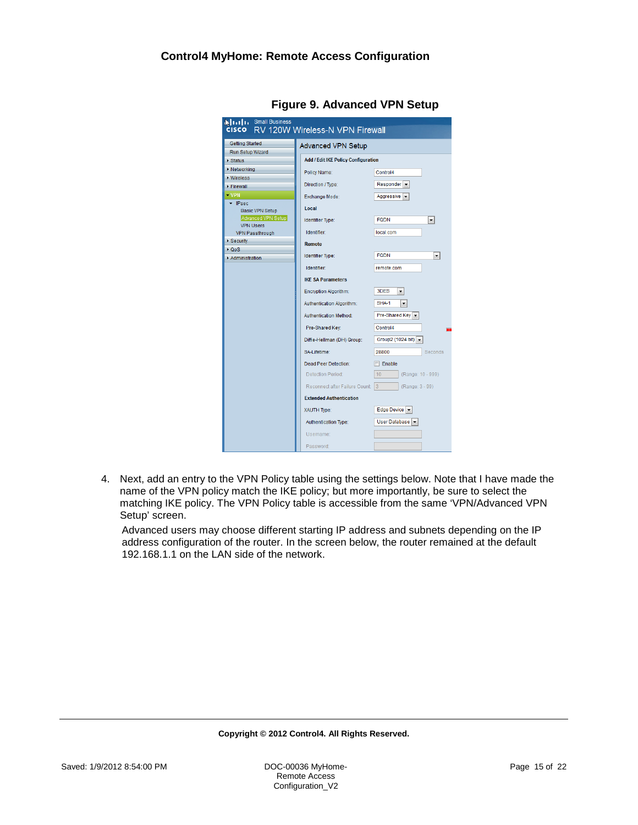<span id="page-14-0"></span>

| <b>NITTI Small Business</b><br>cisco RV 120W Wireless-N VPN Firewall |                                            |                                           |  |  |  |
|----------------------------------------------------------------------|--------------------------------------------|-------------------------------------------|--|--|--|
| Getting Started<br><b>Advanced VPN Setup</b>                         |                                            |                                           |  |  |  |
| Run Setup Wizard                                                     |                                            |                                           |  |  |  |
| ▶ Status                                                             | <b>Add / Edit IKE Policy Configuration</b> |                                           |  |  |  |
| <b>Networking</b>                                                    | Policy Name:                               | Control4                                  |  |  |  |
| • Wireless                                                           |                                            |                                           |  |  |  |
| Firewall                                                             | Direction / Type:                          | Responent                                 |  |  |  |
| $\blacktriangleright$ VPN                                            | Exchange Mode:                             | Aggressive –                              |  |  |  |
| $\blacktriangleright$ IPsec<br><b>Basic VPN Setup</b>                | Local                                      |                                           |  |  |  |
| Advanced VPN Setup<br><b>VPN Users</b>                               | <b>Identifier Type:</b>                    | <b>FQDN</b><br>۰                          |  |  |  |
| <b>VPN Passthrough</b>                                               | Identifier:                                | local.com                                 |  |  |  |
| Security                                                             | <b>Remote</b>                              |                                           |  |  |  |
| $\triangleright$ QoS<br>Administration                               | <b>Identifier Type:</b>                    | <b>FQDN</b><br>$\blacktriangledown$       |  |  |  |
|                                                                      | <b>Identifier</b>                          | remote.com                                |  |  |  |
|                                                                      |                                            |                                           |  |  |  |
|                                                                      | <b>IKE SA Parameters</b>                   |                                           |  |  |  |
|                                                                      | <b>Encryption Algorithm:</b>               | 3DES<br>۰                                 |  |  |  |
|                                                                      | Authentication Algorithm:                  | <b>SHA-1</b><br>۰                         |  |  |  |
|                                                                      | <b>Authentication Method:</b>              | Pre-Shared Key $\vert \blacktriangledown$ |  |  |  |
|                                                                      | Pre-Shared Kev:                            | Control4<br>m                             |  |  |  |
|                                                                      | Diffie-Hellman (DH) Group:                 | Group2 (1024 bit) -                       |  |  |  |
|                                                                      | SA-Lifetime:                               | 28800<br><b>Seconds</b>                   |  |  |  |
|                                                                      | Dead Peer Detection:                       | $\Box$ Enable                             |  |  |  |
|                                                                      | Detection Period:                          | 10 <sup>1</sup><br>(Range: 10 - 999)      |  |  |  |
|                                                                      | Reconnect after Failure Count:             | $\overline{3}$<br>(Range: 3 - 99)         |  |  |  |
|                                                                      | <b>Extended Authentication</b>             |                                           |  |  |  |
|                                                                      | XAUTH Type:                                | Edge Device $\vert \mathbf{v} \vert$      |  |  |  |
|                                                                      | Authentication Type:                       | User Database                             |  |  |  |
|                                                                      | Username:                                  |                                           |  |  |  |
|                                                                      |                                            |                                           |  |  |  |
|                                                                      | Password:                                  |                                           |  |  |  |

**Figure 9. Advanced VPN Setup**

4. Next, add an entry to the VPN Policy table using the settings below. Note that I have made the name of the VPN policy match the IKE policy; but more importantly, be sure to select the matching IKE policy. The VPN Policy table is accessible from the same 'VPN/Advanced VPN Setup' screen.

Advanced users may choose different starting IP address and subnets depending on the IP address configuration of the router. In the screen below, the router remained at the default 192.168.1.1 on the LAN side of the network.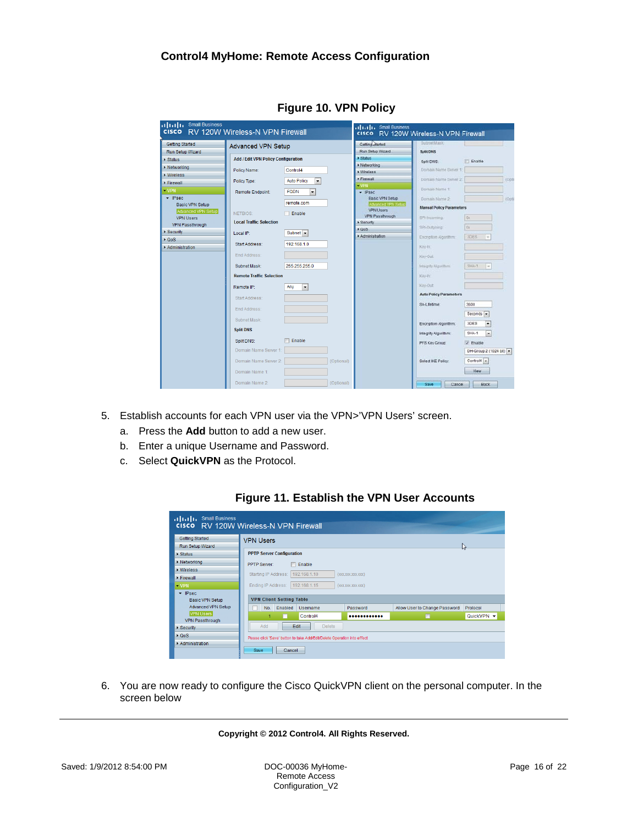<span id="page-15-0"></span>

| <b>Getting Started</b>                     | <b>Advanced VPN Setup</b>                  |                                         | Getting Marted                             | Subnet Mask                     |                         |       |
|--------------------------------------------|--------------------------------------------|-----------------------------------------|--------------------------------------------|---------------------------------|-------------------------|-------|
| Run Setup Wizard                           |                                            |                                         | Run Setup Wizard                           | Split DNS                       |                         |       |
| Status                                     | <b>Add / Edit VPN Policy Configuration</b> |                                         | > Status                                   | Split DNS:                      | Enable                  |       |
| <b>Networking</b>                          | Policy Name:                               | Control4                                | > Networking                               | Domain Name Server 1            |                         |       |
| <b>Mireless</b>                            |                                            |                                         | » Wireless<br>> Firewall                   |                                 |                         | (Opt) |
| <b>Firewall</b>                            | Policy Type:                               | <b>Auto Policy</b><br>$\blacksquare$    | $+ VPH$                                    | Domain Name Server 2            |                         |       |
| $-$ VPN                                    | <b>Remote Endpoint:</b>                    | <b>FQDN</b><br>$\overline{\phantom{a}}$ | $=$ iPsac.                                 | Domain Name 1                   |                         |       |
| $\blacktriangleright$ IPsec                |                                            |                                         | Basic VPN Setup                            | Domain Name 2:                  |                         | (Opt) |
| <b>Basic VPN Setup</b>                     |                                            | remote.com                              | Advanced VPN Setup                         | <b>Manual Policy Parameters</b> |                         |       |
| Advanced VPN Setup                         | NETBIOS:                                   | Enable                                  | <b>VPN Users</b><br><b>VPN Passthrough</b> | SPI-Incoming.                   | Dir.                    |       |
| <b>VPN Users</b><br><b>VPN Passthrough</b> | <b>Local Traffic Selection</b>             |                                         | > Security                                 |                                 |                         |       |
| Security                                   |                                            | Subnet $\sim$                           | EQ0S                                       | SPI-Outgiting                   | Dx                      |       |
| $\triangle$ QoS                            | Local IP:                                  |                                         | » Administration                           | Encryption Algorithm:           | <b>MOES</b><br>iw.      |       |
| Administration                             | Start Address:                             | 192.168.1.0                             |                                            | Key-In:                         |                         |       |
|                                            | End Address:                               |                                         |                                            | Key-Out:                        |                         |       |
|                                            |                                            |                                         |                                            |                                 |                         |       |
|                                            | Subnet Mask:                               | 255 255 255 0                           |                                            | Integrity Algorithm             | SHA-T<br>$\sim$         |       |
|                                            | <b>Remote Traffic Selection</b>            |                                         |                                            | Key-In:                         |                         |       |
|                                            | Remote IP:                                 | Any<br>$\bullet$                        |                                            | KeisDut:                        |                         |       |
|                                            | Start Address:                             |                                         |                                            | <b>Auto Policy Parameters</b>   |                         |       |
|                                            | Fnd Address:                               |                                         |                                            | SA-Lifetime:                    | 3600                    |       |
|                                            |                                            |                                         |                                            |                                 | Seconds -               |       |
|                                            | Subnet Mask:                               |                                         |                                            | Encryption Algorithm.           | 3DES<br>$\blacksquare$  |       |
|                                            | <b>Split DNS</b>                           |                                         |                                            | Integrity Algorithm:            | SHA-1<br>×              |       |
|                                            | Split DNS:                                 | <b>Enable</b>                           |                                            | PFS Key Group:                  | V Enable                |       |
|                                            | Domain Name Server 1:                      |                                         |                                            |                                 | DH-Group 2 (1024 bit) - |       |
|                                            | Domain Name Server 2:                      | (Optional)                              |                                            | Select IKE Policy:              | Control4 -              |       |
|                                            | Domain Name 1:                             |                                         |                                            |                                 | View                    |       |
|                                            |                                            |                                         |                                            |                                 |                         |       |

**Figure 10. VPN Policy**

- <span id="page-15-1"></span>5. Establish accounts for each VPN user via the VPN>'VPN Users' screen.
	- a. Press the **Add** button to add a new user.
	- b. Enter a unique Username and Password.
	- c. Select **QuickVPN** as the Protocol.



## **Figure 11. Establish the VPN User Accounts**

6. You are now ready to configure the Cisco QuickVPN client on the personal computer. In the screen below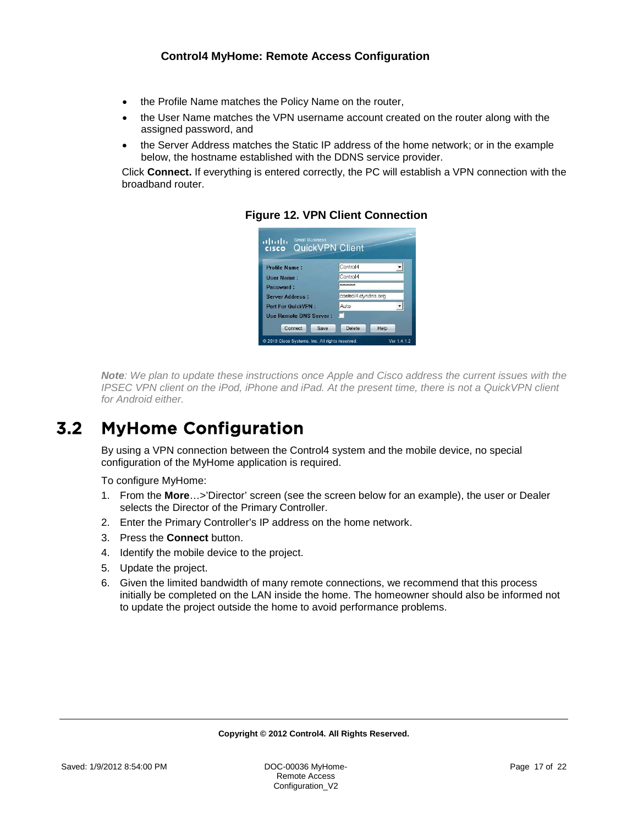- the Profile Name matches the Policy Name on the router,
- the User Name matches the VPN username account created on the router along with the assigned password, and
- the Server Address matches the Static IP address of the home network; or in the example below, the hostname established with the DDNS service provider.

<span id="page-16-0"></span>Click **Connect.** If everything is entered correctly, the PC will establish a VPN connection with the broadband router.



**Figure 12. VPN Client Connection**

*Note: We plan to update these instructions once Apple and Cisco address the current issues with the IPSEC VPN client on the iPod, iPhone and iPad. At the present time, there is not a QuickVPN client for Android either.*

# <span id="page-16-1"></span>3.2 MyHome Configuration

By using a VPN connection between the Control4 system and the mobile device, no special configuration of the MyHome application is required.

To configure MyHome:

- 1. From the **More**…>'Director' screen (see the screen below for an example), the user or Dealer selects the Director of the Primary Controller.
- 2. Enter the Primary Controller's IP address on the home network.
- 3. Press the **Connect** button.
- 4. Identify the mobile device to the project.
- 5. Update the project.
- 6. Given the limited bandwidth of many remote connections, we recommend that this process initially be completed on the LAN inside the home. The homeowner should also be informed not to update the project outside the home to avoid performance problems.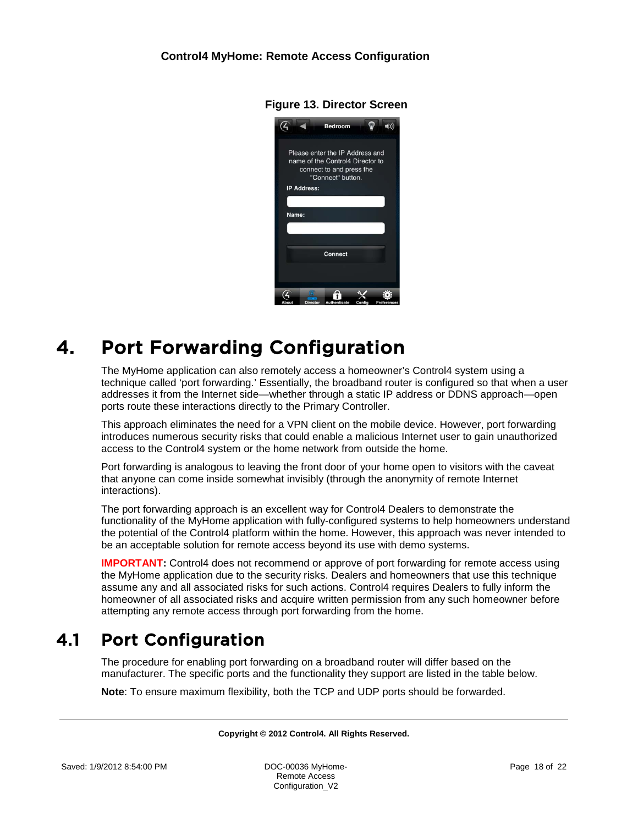<span id="page-17-0"></span>

**Figure 13. Director Screen**

# <span id="page-17-1"></span>4. Port Forwarding Configuration

The MyHome application can also remotely access a homeowner's Control4 system using a technique called 'port forwarding.' Essentially, the broadband router is configured so that when a user addresses it from the Internet side—whether through a static IP address or DDNS approach—open ports route these interactions directly to the Primary Controller.

This approach eliminates the need for a VPN client on the mobile device. However, port forwarding introduces numerous security risks that could enable a malicious Internet user to gain unauthorized access to the Control4 system or the home network from outside the home.

Port forwarding is analogous to leaving the front door of your home open to visitors with the caveat that anyone can come inside somewhat invisibly (through the anonymity of remote Internet interactions).

The port forwarding approach is an excellent way for Control4 Dealers to demonstrate the functionality of the MyHome application with fully-configured systems to help homeowners understand the potential of the Control4 platform within the home. However, this approach was never intended to be an acceptable solution for remote access beyond its use with demo systems.

**IMPORTANT:** Control4 does not recommend or approve of port forwarding for remote access using the MyHome application due to the security risks. Dealers and homeowners that use this technique assume any and all associated risks for such actions. Control4 requires Dealers to fully inform the homeowner of all associated risks and acquire written permission from any such homeowner before attempting any remote access through port forwarding from the home.

# <span id="page-17-2"></span>4.1 Port Configuration

The procedure for enabling port forwarding on a broadband router will differ based on the manufacturer. The specific ports and the functionality they support are listed in the table below.

**Note**: To ensure maximum flexibility, both the TCP and UDP ports should be forwarded.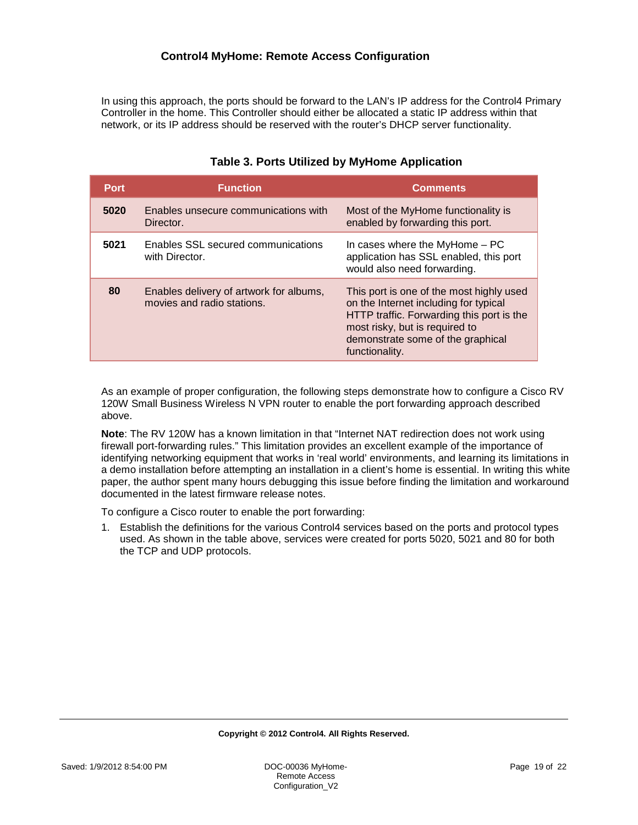In using this approach, the ports should be forward to the LAN's IP address for the Control4 Primary Controller in the home. This Controller should either be allocated a static IP address within that network, or its IP address should be reserved with the router's DHCP server functionality.

<span id="page-18-0"></span>

| <b>Port</b> | <b>Function</b>                                                       | <b>Comments</b>                                                                                                                                                                                                         |
|-------------|-----------------------------------------------------------------------|-------------------------------------------------------------------------------------------------------------------------------------------------------------------------------------------------------------------------|
| 5020        | Enables unsecure communications with<br>Director.                     | Most of the MyHome functionality is<br>enabled by forwarding this port.                                                                                                                                                 |
| 5021        | Enables SSL secured communications<br>with Director.                  | In cases where the MyHome - PC<br>application has SSL enabled, this port<br>would also need forwarding.                                                                                                                 |
| 80          | Enables delivery of artwork for albums,<br>movies and radio stations. | This port is one of the most highly used<br>on the Internet including for typical<br>HTTP traffic. Forwarding this port is the<br>most risky, but is required to<br>demonstrate some of the graphical<br>functionality. |

## **Table 3. Ports Utilized by MyHome Application**

As an example of proper configuration, the following steps demonstrate how to configure a Cisco RV 120W Small Business Wireless N VPN router to enable the port forwarding approach described above.

**Note**: The RV 120W has a known limitation in that "Internet NAT redirection does not work using firewall port-forwarding rules." This limitation provides an excellent example of the importance of identifying networking equipment that works in 'real world' environments, and learning its limitations in a demo installation before attempting an installation in a client's home is essential. In writing this white paper, the author spent many hours debugging this issue before finding the limitation and workaround documented in the latest firmware release notes.

To configure a Cisco router to enable the port forwarding:

1. Establish the definitions for the various Control4 services based on the ports and protocol types used. As shown in the table above, services were created for ports 5020, 5021 and 80 for both the TCP and UDP protocols.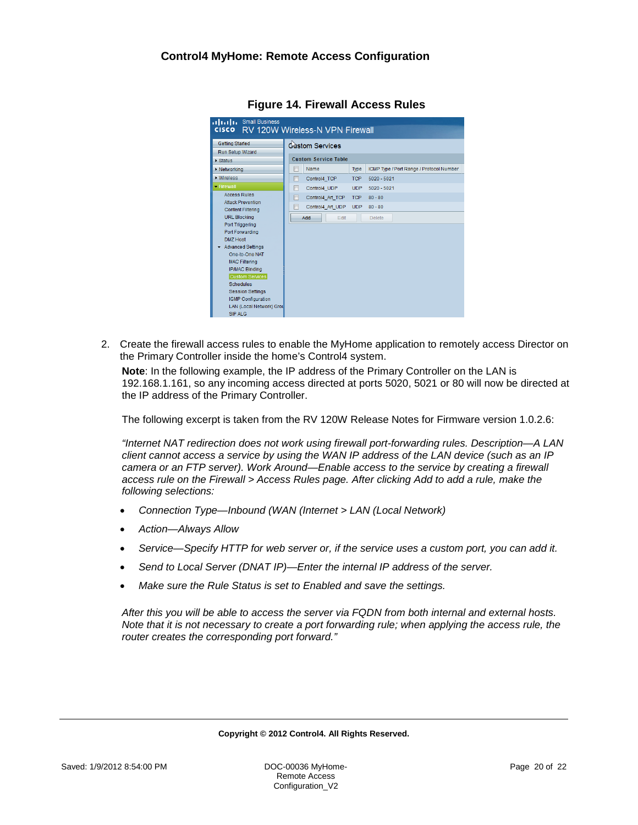<span id="page-19-0"></span>

| alulu<br><b>Small Business</b><br><b>CISCO</b><br>RV 120W Wireless-N VPN Firewall |                                                  |                                          |  |  |
|-----------------------------------------------------------------------------------|--------------------------------------------------|------------------------------------------|--|--|
| <b>Getting Started</b><br>Run Setup Wizard                                        | Costom Services                                  |                                          |  |  |
| <b>Status</b>                                                                     | <b>Custom Service Table</b>                      |                                          |  |  |
| <b>Networking</b>                                                                 | ⋒<br>Name<br><b>Type</b>                         | ICMP Type / Port Range / Protocol Number |  |  |
| <b>Wireless</b>                                                                   | F<br>Control4 TCP<br><b>TCP</b><br>$5020 - 5021$ |                                          |  |  |
| - Firewall                                                                        | Control4 UDP<br>F<br><b>UDP</b><br>$5020 - 5021$ |                                          |  |  |
| <b>Access Rules</b>                                                               | Control4 Art TCP TCP<br>F<br>$80 - 80$           |                                          |  |  |
| <b>Attack Prevention</b><br><b>Content Filtering</b>                              | Control4_Art_UDP<br><b>UDP</b><br>$80 - 80$      |                                          |  |  |
| <b>URL Blocking</b>                                                               | Add<br>Edit<br><b>Delete</b>                     |                                          |  |  |
| <b>Port Triggering</b>                                                            |                                                  |                                          |  |  |
| Port Forwarding<br><b>DMZ Host</b>                                                |                                                  |                                          |  |  |
| <b>Advanced Settings</b>                                                          |                                                  |                                          |  |  |
| One-to-One NAT                                                                    |                                                  |                                          |  |  |
| <b>MAC Filtering</b>                                                              |                                                  |                                          |  |  |
| <b>IP/MAC Binding</b>                                                             |                                                  |                                          |  |  |
| Custom Services                                                                   |                                                  |                                          |  |  |
| <b>Schedules</b>                                                                  |                                                  |                                          |  |  |
| <b>Session Settings</b>                                                           |                                                  |                                          |  |  |
| <b>IGMP Configuration</b>                                                         |                                                  |                                          |  |  |
| LAN (Local Network) Grou<br>SIP ALG                                               |                                                  |                                          |  |  |

**Figure 14. Firewall Access Rules**

2. Create the firewall access rules to enable the MyHome application to remotely access Director on the Primary Controller inside the home's Control4 system.

**Note**: In the following example, the IP address of the Primary Controller on the LAN is 192.168.1.161, so any incoming access directed at ports 5020, 5021 or 80 will now be directed at the IP address of the Primary Controller.

The following excerpt is taken from the RV 120W Release Notes for Firmware version 1.0.2.6:

*"Internet NAT redirection does not work using firewall port-forwarding rules. Description—A LAN client cannot access a service by using the WAN IP address of the LAN device (such as an IP camera or an FTP server). Work Around—Enable access to the service by creating a firewall access rule on the Firewall > Access Rules page. After clicking Add to add a rule, make the following selections:*

- *Connection Type—Inbound (WAN (Internet > LAN (Local Network)*
- *Action—Always Allow*
- *Service—Specify HTTP for web server or, if the service uses a custom port, you can add it.*
- *Send to Local Server (DNAT IP)—Enter the internal IP address of the server.*
- *Make sure the Rule Status is set to Enabled and save the settings.*

*After this you will be able to access the server via FQDN from both internal and external hosts. Note that it is not necessary to create a port forwarding rule; when applying the access rule, the router creates the corresponding port forward."*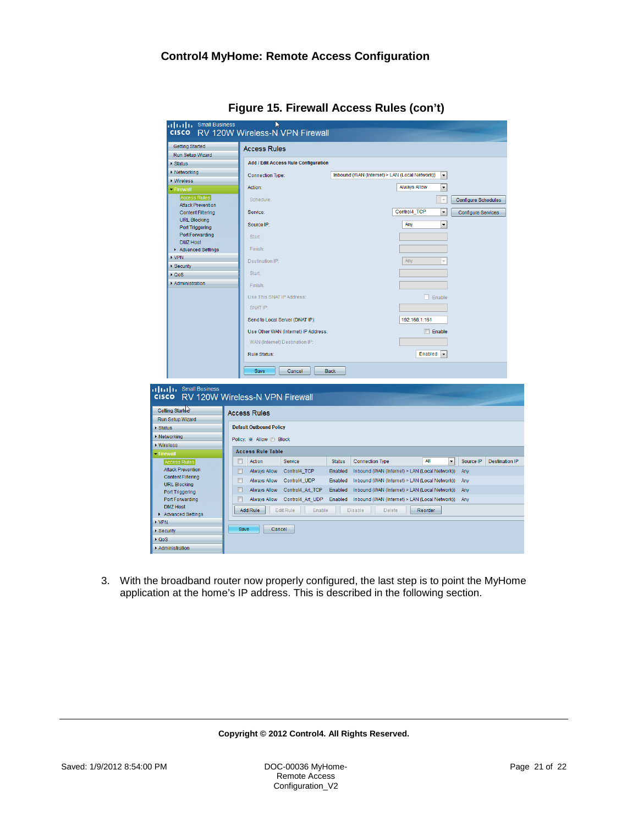<span id="page-20-0"></span>

| Getting Started                                      | Small Business<br>RV 120W Wireless-N VPN Firewall |                                                |                                                |                          |                           |                      |
|------------------------------------------------------|---------------------------------------------------|------------------------------------------------|------------------------------------------------|--------------------------|---------------------------|----------------------|
|                                                      | <b>Access Rules</b>                               |                                                |                                                |                          |                           |                      |
| Run Setup Wizard                                     |                                                   |                                                |                                                |                          |                           |                      |
| Status                                               | <b>Add / Edit Access Rule Configuration</b>       |                                                |                                                |                          |                           |                      |
| <b>Networking</b>                                    | <b>Connection Type:</b>                           | Inbound (WAN (Internet) > LAN (Local Network)) |                                                | $\blacktriangledown$     |                           |                      |
| <b>Wireless</b>                                      |                                                   |                                                |                                                |                          |                           |                      |
| - Firewall                                           | Action:                                           |                                                | <b>Always Allow</b>                            | $\overline{\phantom{a}}$ |                           |                      |
| <b>Access Rules</b><br><b>Attack Prevention</b>      | Schedule:                                         |                                                |                                                | $\psi$                   | Configure Schedules       |                      |
| <b>Content Filtering</b>                             | Service:                                          |                                                | Control4_TCP                                   | $\overline{\phantom{a}}$ | <b>Configure Services</b> |                      |
| <b>URL Blocking</b>                                  |                                                   |                                                |                                                |                          |                           |                      |
| Port Triggering                                      | Source IP:                                        |                                                | Any                                            | $\overline{\phantom{a}}$ |                           |                      |
| Port Forwarding                                      | Start:                                            |                                                |                                                |                          |                           |                      |
| <b>DMZ Host</b><br>Advanced Settings                 | Finish:                                           |                                                |                                                |                          |                           |                      |
| <b>NPN</b>                                           |                                                   |                                                |                                                |                          |                           |                      |
| Security                                             | Destination IP:                                   |                                                | Any                                            |                          |                           |                      |
| $\triangleright$ QoS                                 | <b>Start:</b>                                     |                                                |                                                |                          |                           |                      |
| Administration                                       | Finish:                                           |                                                |                                                |                          |                           |                      |
|                                                      |                                                   |                                                |                                                |                          |                           |                      |
|                                                      | Use This SNAT IP Address:                         |                                                | $\Box$ Enable                                  |                          |                           |                      |
|                                                      | SNAT IP:                                          |                                                |                                                |                          |                           |                      |
|                                                      | Send to Local Server (DNAT IP):                   |                                                | 192.168.1.161                                  |                          |                           |                      |
|                                                      |                                                   |                                                |                                                |                          |                           |                      |
|                                                      | Use Other WAN (Internet) IP Address:              |                                                | $\Box$ Enable                                  |                          |                           |                      |
|                                                      | WAN (Internet) Destination IP:                    |                                                |                                                |                          |                           |                      |
|                                                      | Rule Status:                                      |                                                | Enabled $\vert \star$                          |                          |                           |                      |
|                                                      |                                                   |                                                |                                                |                          |                           |                      |
|                                                      | Save<br>Cancel                                    | <b>Back</b>                                    |                                                |                          |                           |                      |
| did it Small Business                                | RV 120W Wireless-N VPN Firewall                   |                                                |                                                |                          |                           |                      |
|                                                      |                                                   |                                                |                                                |                          |                           |                      |
| <b>CISCO</b>                                         |                                                   |                                                |                                                |                          |                           |                      |
| Getting Started                                      | <b>Access Rules</b>                               |                                                |                                                |                          |                           |                      |
| Run Setup Wizard                                     |                                                   |                                                |                                                |                          |                           |                      |
| Status                                               | <b>Default Outbound Policy</b>                    |                                                |                                                |                          |                           |                      |
| <b>Networking</b>                                    | Policy: O Allow O Block                           |                                                |                                                |                          |                           |                      |
| <b>Wireless</b>                                      |                                                   |                                                |                                                |                          |                           |                      |
| - Firewall                                           | <b>Access Rule Table</b>                          |                                                |                                                |                          |                           |                      |
| <b>Access Rules</b>                                  | Action<br>Service<br>n.                           | <b>Status</b><br><b>Connection Type</b>        | All                                            | $\blacktriangledown$     | Source IP                 |                      |
| <b>Attack Prevention</b><br><b>Content Filtering</b> | $\Box$<br><b>Always Allow</b><br>Control4_TCP     | Enabled                                        | Inbound (WAN (Internet) > LAN (Local Network)) |                          | Any                       | <b>Destination I</b> |
| <b>URL Blocking</b>                                  | $\Box$<br><b>Always Allow</b><br>Control4_UDP     | Enabled                                        | Inbound (WAN (Internet) > LAN (Local Network)) |                          | Any                       |                      |
| Port Triggering                                      | $\Box$<br><b>Always Allow</b><br>Control4_Art_TCP | Enabled                                        | Inbound (WAN (Internet) > LAN (Local Network)) |                          | Any                       |                      |
| Port Forwarding                                      | $\Box$<br>Control4_Art_UDP<br><b>Always Allow</b> | Enabled                                        | Inbound (WAN (Internet) > LAN (Local Network)) |                          | Any                       |                      |
| <b>DMZ Host</b>                                      | <b>Add Rule</b><br><b>Edit Rule</b><br>Enable     | <b>Disable</b><br><b>Delete</b>                | Reorder                                        |                          |                           |                      |
| Advanced Settings<br>$\triangleright$ VPN            |                                                   |                                                |                                                |                          |                           |                      |
| ▶ Security                                           | Save<br>Cancel                                    |                                                |                                                |                          |                           |                      |
| $\triangleright$ QoS                                 |                                                   |                                                |                                                |                          |                           |                      |

**Figure 15. Firewall Access Rules (con't)**

3. With the broadband router now properly configured, the last step is to point the MyHome application at the home's IP address. This is described in the following section.